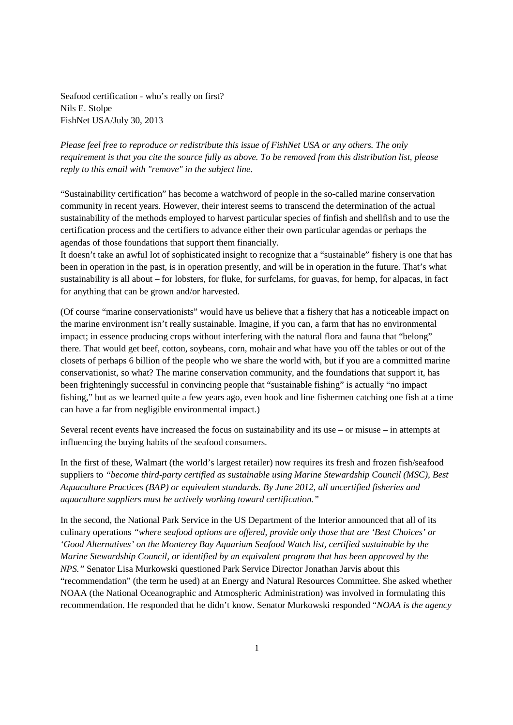Seafood certification - who's really on first? Nils E. Stolpe FishNet USA/July 30, 2013

*Please feel free to reproduce or redistribute this issue of FishNet USA or any others. The only requirement is that you cite the source fully as above. To be removed from this distribution list, please reply to this email with "remove" in the subject line.* 

"Sustainability certification" has become a watchword of people in the so-called marine conservation community in recent years. However, their interest seems to transcend the determination of the actual sustainability of the methods employed to harvest particular species of finfish and shellfish and to use the certification process and the certifiers to advance either their own particular agendas or perhaps the agendas of those foundations that support them financially.

It doesn't take an awful lot of sophisticated insight to recognize that a "sustainable" fishery is one that has been in operation in the past, is in operation presently, and will be in operation in the future. That's what sustainability is all about – for lobsters, for fluke, for surfclams, for guavas, for hemp, for alpacas, in fact for anything that can be grown and/or harvested.

(Of course "marine conservationists" would have us believe that a fishery that has a noticeable impact on the marine environment isn't really sustainable. Imagine, if you can, a farm that has no environmental impact; in essence producing crops without interfering with the natural flora and fauna that "belong" there. That would get beef, cotton, soybeans, corn, mohair and what have you off the tables or out of the closets of perhaps 6 billion of the people who we share the world with, but if you are a committed marine conservationist, so what? The marine conservation community, and the foundations that support it, has been frighteningly successful in convincing people that "sustainable fishing" is actually "no impact fishing," but as we learned quite a few years ago, even hook and line fishermen catching one fish at a time can have a far from negligible environmental impact.)

Several recent events have increased the focus on sustainability and its use – or misuse – in attempts at influencing the buying habits of the seafood consumers.

In the first of these, Walmart (the world's largest retailer) now requires its fresh and frozen fish/seafood suppliers to *"become third-party certified as sustainable using Marine Stewardship Council (MSC), Best Aquaculture Practices (BAP) or equivalent standards. By June 2012, all uncertified fisheries and aquaculture suppliers must be actively working toward certification."* 

In the second, the National Park Service in the US Department of the Interior announced that all of its culinary operations *"where seafood options are offered, provide only those that are 'Best Choices' or 'Good Alternatives' on the Monterey Bay Aquarium Seafood Watch list, certified sustainable by the Marine Stewardship Council, or identified by an equivalent program that has been approved by the NPS."* Senator Lisa Murkowski questioned Park Service Director Jonathan Jarvis about this "recommendation" (the term he used) at an Energy and Natural Resources Committee. She asked whether NOAA (the National Oceanographic and Atmospheric Administration) was involved in formulating this recommendation. He responded that he didn't know. Senator Murkowski responded "*NOAA is the agency*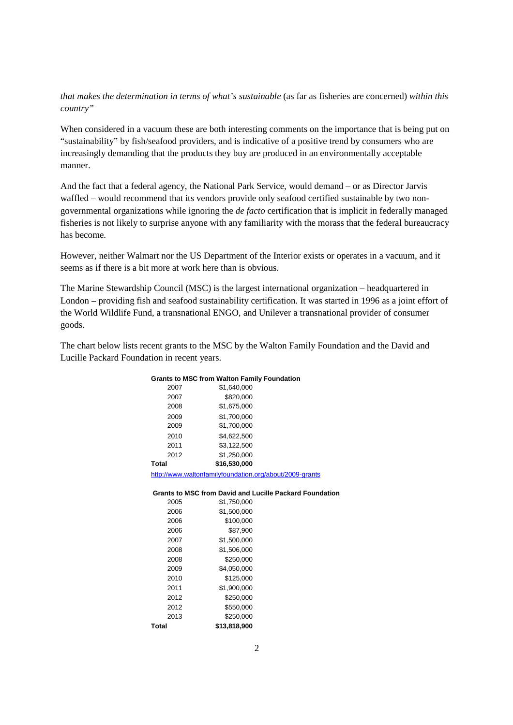*that makes the determination in terms of what's sustainable* (as far as fisheries are concerned) *within this country"* 

When considered in a vacuum these are both interesting comments on the importance that is being put on "sustainability" by fish/seafood providers, and is indicative of a positive trend by consumers who are increasingly demanding that the products they buy are produced in an environmentally acceptable manner.

And the fact that a federal agency, the National Park Service, would demand – or as Director Jarvis waffled – would recommend that its vendors provide only seafood certified sustainable by two nongovernmental organizations while ignoring the *de facto* certification that is implicit in federally managed fisheries is not likely to surprise anyone with any familiarity with the morass that the federal bureaucracy has become.

However, neither Walmart nor the US Department of the Interior exists or operates in a vacuum, and it seems as if there is a bit more at work here than is obvious.

The Marine Stewardship Council (MSC) is the largest international organization – headquartered in London – providing fish and seafood sustainability certification. It was started in 1996 as a joint effort of the World Wildlife Fund, a transnational ENGO, and Unilever a transnational provider of consumer goods.

The chart below lists recent grants to the MSC by the Walton Family Foundation and the David and Lucille Packard Foundation in recent years.

## **Grants to MSC from Walton Family Foundation**

| 2007  | \$1.640.000  |
|-------|--------------|
| 2007  | \$820,000    |
| 2008  | \$1,675,000  |
| 2009  | \$1.700.000  |
| 2009  | \$1,700,000  |
| 2010  | \$4.622.500  |
| 2011  | \$3.122.500  |
| 2012  | \$1,250,000  |
| Total | \$16,530,000 |

http://www.waltonfamilyfoundation.org/about/2009-grants

## **Grants to MSC from David and Lucille Packard Foundation**

| Total | \$13.818.900 |
|-------|--------------|
| 2013  | \$250.000    |
| 2012  | \$550.000    |
| 2012  | \$250.000    |
| 2011  | \$1.900.000  |
| 2010  | \$125.000    |
| 2009  | \$4.050.000  |
| 2008  | \$250,000    |
| 2008  | \$1,506,000  |
| 2007  | \$1.500.000  |
| 2006  | \$87.900     |
| 2006  | \$100.000    |
| 2006  | \$1.500.000  |
| 2005  | \$1.750.000  |